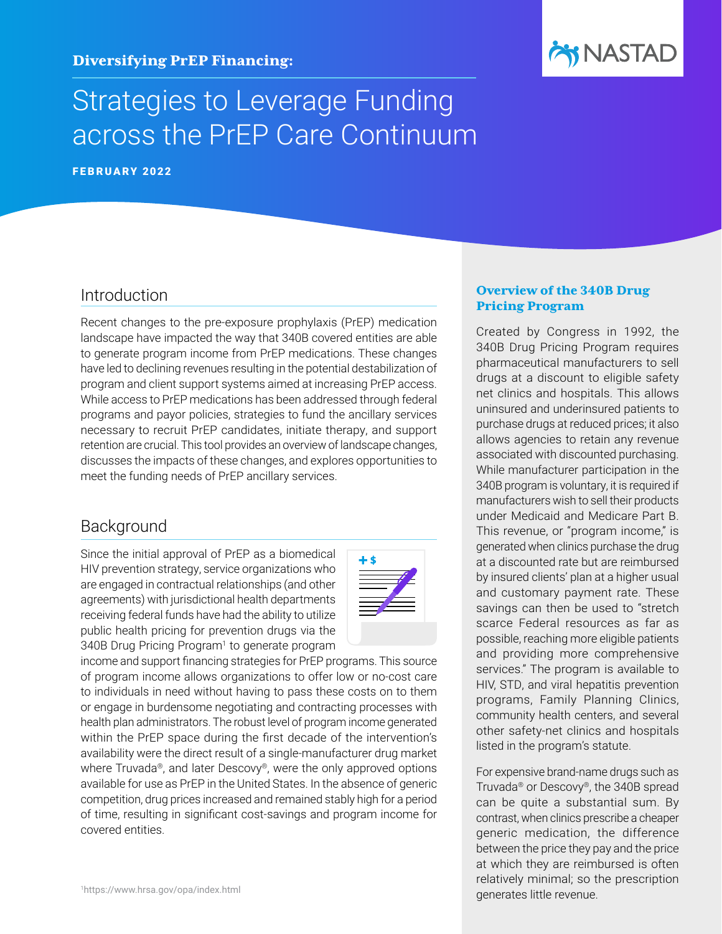

# Strategies to Leverage Funding across the PrEP Care Continuum

FEBRUARY 2022

# Introduction

Recent changes to the pre-exposure prophylaxis (PrEP) medication landscape have impacted the way that 340B covered entities are able to generate program income from PrEP medications. These changes have led to declining revenues resulting in the potential destabilization of program and client support systems aimed at increasing PrEP access. While access to PrEP medications has been addressed through federal programs and payor policies, strategies to fund the ancillary services necessary to recruit PrEP candidates, initiate therapy, and support retention are crucial. This tool provides an overview of landscape changes, discusses the impacts of these changes, and explores opportunities to meet the funding needs of PrEP ancillary services.

# Background

Since the initial approval of PrEP as a biomedical HIV prevention strategy, service organizations who are engaged in contractual relationships (and other agreements) with jurisdictional health departments receiving federal funds have had the ability to utilize public health pricing for prevention drugs via the 340B Drug Pricing Program<sup>1</sup> to generate program



income and support financing strategies for PrEP programs. This source of program income allows organizations to offer low or no-cost care to individuals in need without having to pass these costs on to them or engage in burdensome negotiating and contracting processes with health plan administrators. The robust level of program income generated within the PrEP space during the first decade of the intervention's availability were the direct result of a single-manufacturer drug market where Truvada®, and later Descovy®, were the only approved options available for use as PrEP in the United States. In the absence of generic competition, drug prices increased and remained stably high for a period of time, resulting in significant cost-savings and program income for covered entities.

#### Overview of the 340B Drug Pricing Program

Created by Congress in 1992, the 340B Drug Pricing Program requires pharmaceutical manufacturers to sell drugs at a discount to eligible safety net clinics and hospitals. This allows uninsured and underinsured patients to purchase drugs at reduced prices; it also allows agencies to retain any revenue associated with discounted purchasing. While manufacturer participation in the 340B program is voluntary, it is required if manufacturers wish to sell their products under Medicaid and Medicare Part B. This revenue, or "program income," is generated when clinics purchase the drug at a discounted rate but are reimbursed by insured clients' plan at a higher usual and customary payment rate. These savings can then be used to "stretch scarce Federal resources as far as possible, reaching more eligible patients and providing more comprehensive services." The program is available to HIV, STD, and viral hepatitis prevention programs, Family Planning Clinics, community health centers, and several other safety-net clinics and hospitals listed in the program's statute.

For expensive brand-name drugs such as Truvada® or Descovy®, the 340B spread can be quite a substantial sum. By contrast, when clinics prescribe a cheaper generic medication, the difference between the price they pay and the price at which they are reimbursed is often relatively minimal; so the prescription generates little revenue.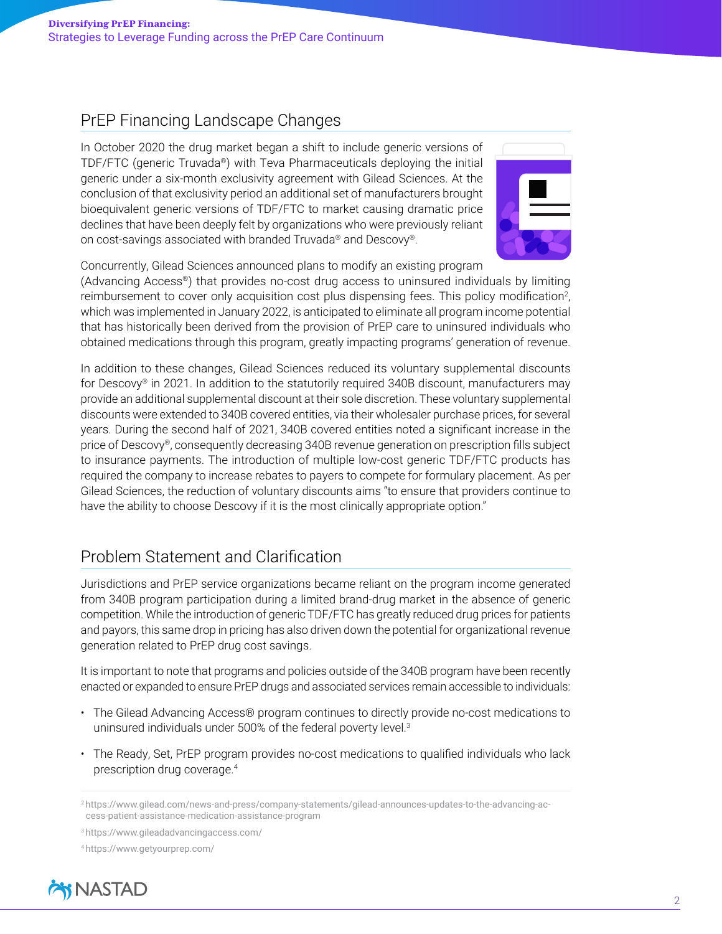# PrEP Financing Landscape Changes

In October 2020 the drug market began a shift to include generic versions of TDF/FTC (generic Truvada®) with Teva Pharmaceuticals deploying the initial generic under a six-month exclusivity agreement with Gilead Sciences. At the conclusion of that exclusivity period an additional set of manufacturers brought bioequivalent generic versions of TDF/FTC to market causing dramatic price declines that have been deeply felt by organizations who were previously reliant on cost-savings associated with branded Truvada® and Descovy®.



Concurrently, Gilead Sciences announced plans to modify an existing program

(Advancing Access®) that provides no-cost drug access to uninsured individuals by limiting reimbursement to cover only acquisition cost plus dispensing fees. This policy modification<sup>2</sup>, which was implemented in January 2022, is anticipated to eliminate all program income potential that has historically been derived from the provision of PrEP care to uninsured individuals who obtained medications through this program, greatly impacting programs' generation of revenue.

In addition to these changes, Gilead Sciences reduced its voluntary supplemental discounts for Descovy® in 2021. In addition to the statutorily required 340B discount, manufacturers may provide an additional supplemental discount at their sole discretion. These voluntary supplemental discounts were extended to 340B covered entities, via their wholesaler purchase prices, for several years. During the second half of 2021, 340B covered entities noted a significant increase in the price of Descovy®, consequently decreasing 340B revenue generation on prescription fills subject to insurance payments. The introduction of multiple low-cost generic TDF/FTC products has required the company to increase rebates to payers to compete for formulary placement. As per Gilead Sciences, the reduction of voluntary discounts aims "to ensure that providers continue to have the ability to choose Descovy if it is the most clinically appropriate option."

# Problem Statement and Clarification

Jurisdictions and PrEP service organizations became reliant on the program income generated from 340B program participation during a limited brand-drug market in the absence of generic competition. While the introduction of generic TDF/FTC has greatly reduced drug prices for patients and payors, this same drop in pricing has also driven down the potential for organizational revenue generation related to PrEP drug cost savings.

It is important to note that programs and policies outside of the 340B program have been recently enacted or expanded to ensure PrEP drugs and associated services remain accessible to individuals:

- The Gilead Advancing Access® program continues to directly provide no-cost medications to uninsured individuals under 500% of the federal poverty level.3
- The Ready, Set, PrEP program provides no-cost medications to qualified individuals who lack prescription drug coverage.4

<sup>4</sup> <https://www.getyourprep.com/>



<sup>2</sup> [https://www.gilead.com/news-and-press/company-statements/gilead-announces-updates-to-the-advancing-ac](https://www.gilead.com/news-and-press/company-statements/gilead-announces-updates-to-the-advancing-access-patient-assistance-medication-assistance-program)[cess-patient-assistance-medication-assistance-program](https://www.gilead.com/news-and-press/company-statements/gilead-announces-updates-to-the-advancing-access-patient-assistance-medication-assistance-program)

<sup>3</sup> <https://www.gileadadvancingaccess.com/>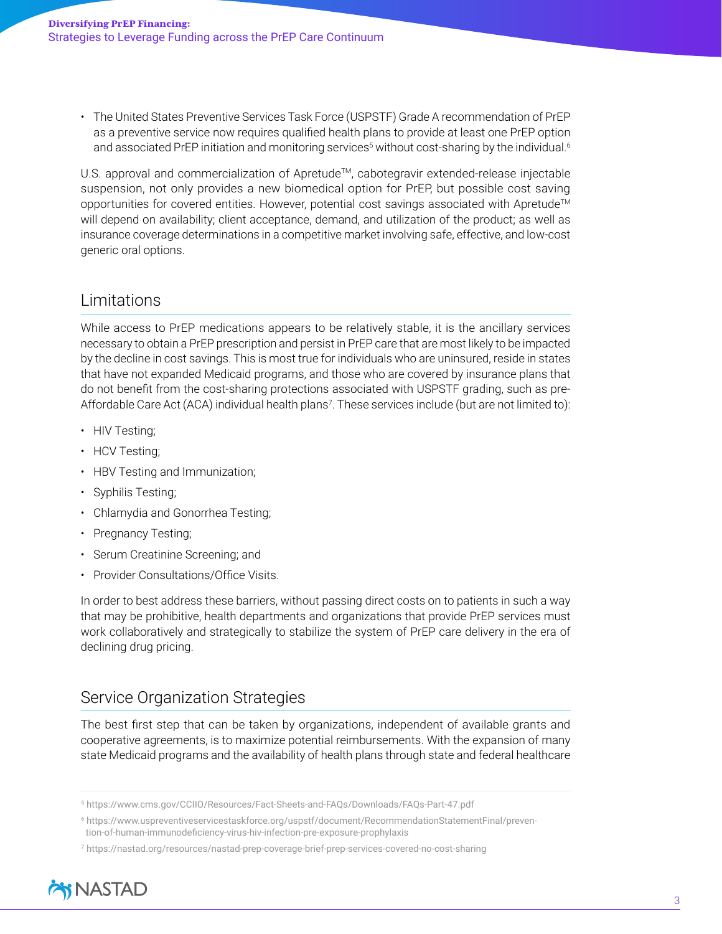• The United States Preventive Services Task Force (USPSTF) Grade A recommendation of PrEP as a preventive service now requires qualified health plans to provide at least one PrEP option and associated PrEP initiation and monitoring services<sup>5</sup> without cost-sharing by the individual.<sup>6</sup>

U.S. approval and commercialization of Apretude™, cabotegravir extended-release injectable suspension, not only provides a new biomedical option for PrEP, but possible cost saving opportunities for covered entities. However, potential cost savings associated with Apretude™ will depend on availability; client acceptance, demand, and utilization of the product; as well as insurance coverage determinations in a competitive market involving safe, effective, and low-cost generic oral options.

# Limitations

While access to PrEP medications appears to be relatively stable, it is the ancillary services necessary to obtain a PrEP prescription and persist in PrEP care that are most likely to be impacted by the decline in cost savings. This is most true for individuals who are uninsured, reside in states that have not expanded Medicaid programs, and those who are covered by insurance plans that do not benefit from the cost-sharing protections associated with USPSTF grading, such as pre-Affordable Care Act (ACA) individual health plans7 . These services include (but are not limited to):

- HIV Testing;
- HCV Testing;
- HBV Testing and Immunization;
- Syphilis Testing;
- Chlamydia and Gonorrhea Testing;
- Pregnancy Testing;
- Serum Creatinine Screening; and
- Provider Consultations/Office Visits.

In order to best address these barriers, without passing direct costs on to patients in such a way that may be prohibitive, health departments and organizations that provide PrEP services must work collaboratively and strategically to stabilize the system of PrEP care delivery in the era of declining drug pricing.

# Service Organization Strategies

The best first step that can be taken by organizations, independent of available grants and cooperative agreements, is to maximize potential reimbursements. With the expansion of many state Medicaid programs and the availability of health plans through state and federal healthcare

<sup>7</sup> <https://nastad.org/resources/nastad-prep-coverage-brief-prep-services-covered-no-cost-sharing>



<sup>5</sup> <https://www.cms.gov/CCIIO/Resources/Fact-Sheets-and-FAQs/Downloads/FAQs-Part-47.pdf>

<sup>6</sup> [https://www.uspreventiveservicestaskforce.org/uspstf/document/RecommendationStatementFinal/preven](https://www.uspreventiveservicestaskforce.org/uspstf/document/RecommendationStatementFinal/prevention-of-human-immunodeficiency-virus-hiv-infection-pre-exposure-prophylaxis)[tion-of-human-immunodeficiency-virus-hiv-infection-pre-exposure-prophylaxis](https://www.uspreventiveservicestaskforce.org/uspstf/document/RecommendationStatementFinal/prevention-of-human-immunodeficiency-virus-hiv-infection-pre-exposure-prophylaxis)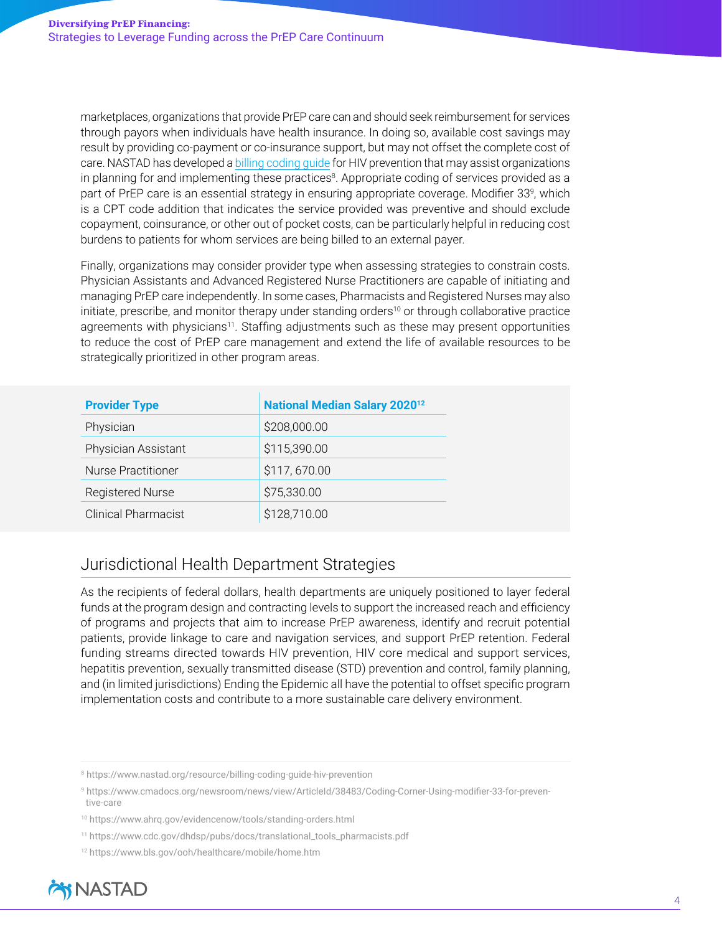marketplaces, organizations that provide PrEP care can and should seek reimbursement for services through payors when individuals have health insurance. In doing so, available cost savings may result by providing co-payment or co-insurance support, but may not offset the complete cost of care. NASTAD has developed a [billing coding guide](https://www.nastad.org/resource/billing-coding-guide-hiv-prevention) for HIV prevention that may assist organizations in planning for and implementing these practices<sup>8</sup>. Appropriate coding of services provided as a part of PrEP care is an essential strategy in ensuring appropriate coverage. Modifier 33<sup>9</sup>, which is a CPT code addition that indicates the service provided was preventive and should exclude copayment, coinsurance, or other out of pocket costs, can be particularly helpful in reducing cost burdens to patients for whom services are being billed to an external payer.

Finally, organizations may consider provider type when assessing strategies to constrain costs. Physician Assistants and Advanced Registered Nurse Practitioners are capable of initiating and managing PrEP care independently. In some cases, Pharmacists and Registered Nurses may also initiate, prescribe, and monitor therapy under standing orders<sup>10</sup> or through collaborative practice agreements with physicians<sup>11</sup>. Staffing adjustments such as these may present opportunities to reduce the cost of PrEP care management and extend the life of available resources to be strategically prioritized in other program areas.

| <b>Provider Type</b>       | National Median Salary 2020 <sup>12</sup> |
|----------------------------|-------------------------------------------|
| Physician                  | \$208,000.00                              |
| Physician Assistant        | \$115,390.00                              |
| Nurse Practitioner         | \$117,670.00                              |
| <b>Registered Nurse</b>    | \$75,330.00                               |
| <b>Clinical Pharmacist</b> | \$128,710.00                              |

# Jurisdictional Health Department Strategies

As the recipients of federal dollars, health departments are uniquely positioned to layer federal funds at the program design and contracting levels to support the increased reach and efficiency of programs and projects that aim to increase PrEP awareness, identify and recruit potential patients, provide linkage to care and navigation services, and support PrEP retention. Federal funding streams directed towards HIV prevention, HIV core medical and support services, hepatitis prevention, sexually transmitted disease (STD) prevention and control, family planning, and (in limited jurisdictions) Ending the Epidemic all have the potential to offset specific program implementation costs and contribute to a more sustainable care delivery environment.

<sup>12</sup> <https://www.bls.gov/ooh/healthcare/mobile/home.htm>



<sup>8</sup> <https://www.nastad.org/resource/billing-coding-guide-hiv-prevention>

<sup>9</sup> [https://www.cmadocs.org/newsroom/news/view/ArticleId/38483/Coding-Corner-Using-modifier-33-for-preven](https://www.cmadocs.org/newsroom/news/view/ArticleId/38483/Coding-Corner-Using-modifier-33-for-preventive-care)[tive-care](https://www.cmadocs.org/newsroom/news/view/ArticleId/38483/Coding-Corner-Using-modifier-33-for-preventive-care)

<sup>10</sup> <https://www.ahrq.gov/evidencenow/tools/standing-orders.html>

<sup>11</sup> [https://www.cdc.gov/dhdsp/pubs/docs/translational\\_tools\\_pharmacists.pdf](https://www.cdc.gov/dhdsp/pubs/docs/translational_tools_pharmacists.pdf)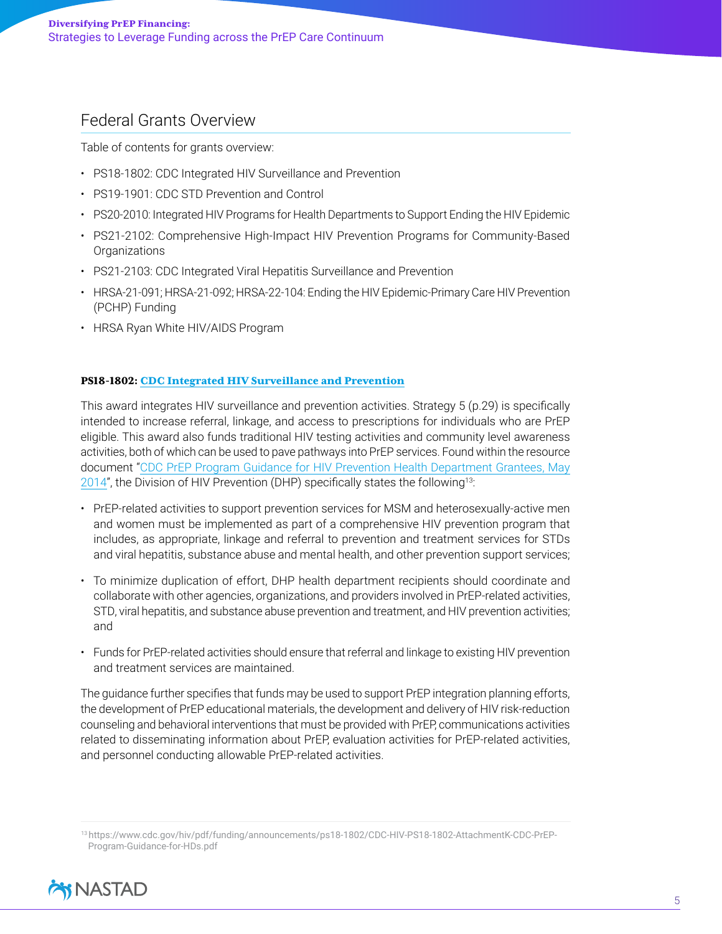# Federal Grants Overview

Table of contents for grants overview:

- [PS18-1802: CDC Integrated HIV Surveillance and Prevention](#page-4-0)
- [PS19-1901: CDC STD Prevention and Control](#page-5-0)
- [PS20-2010: Integrated HIV Programs for Health Departments to Support Ending the HIV Epidemic](#page-6-0)
- [PS21-2102: Comprehensive High-Impact HIV Prevention Programs for Community-Based](#page-7-0)  **[Organizations](#page-7-0)**
- [PS21-2103: CDC Integrated Viral Hepatitis Surveillance and Prevention](#page-7-1)
- [HRSA-21-091; HRSA-21-092; HRSA-22-104: Ending the HIV Epidemic-Primary Care HIV Prevention](#page-8-0)  [\(PCHP\) Funding](#page-8-0)
- [HRSA Ryan White HIV/AIDS Program](#page-9-0)

#### <span id="page-4-0"></span>PS18-1802: [CDC Integrated HIV Surveillance and Prevention](https://www.cdc.gov/hiv/funding/announcements/ps18-1802/index.html)

This award integrates HIV surveillance and prevention activities. Strategy 5 (p.29) is specifically intended to increase referral, linkage, and access to prescriptions for individuals who are PrEP eligible. This award also funds traditional HIV testing activities and community level awareness activities, both of which can be used to pave pathways into PrEP services. Found within the resource document "[CDC PrEP Program Guidance for HIV Prevention Health Department Grantees, May](https://www.cdc.gov/hiv/pdf/funding/announcements/ps18-1802/CDC-HIV-PS18-1802-AttachmentK-CDC-PrEP-Program-Guidance-for-HDs.pdf)  [2014](https://www.cdc.gov/hiv/pdf/funding/announcements/ps18-1802/CDC-HIV-PS18-1802-AttachmentK-CDC-PrEP-Program-Guidance-for-HDs.pdf)", the Division of HIV Prevention (DHP) specifically states the following<sup>13:</sup>

- PrEP-related activities to support prevention services for MSM and heterosexually-active men and women must be implemented as part of a comprehensive HIV prevention program that includes, as appropriate, linkage and referral to prevention and treatment services for STDs and viral hepatitis, substance abuse and mental health, and other prevention support services;
- To minimize duplication of effort, DHP health department recipients should coordinate and collaborate with other agencies, organizations, and providers involved in PrEP-related activities, STD, viral hepatitis, and substance abuse prevention and treatment, and HIV prevention activities; and
- Funds for PrEP-related activities should ensure that referral and linkage to existing HIV prevention and treatment services are maintained.

The guidance further specifies that funds may be used to support PrEP integration planning efforts, the development of PrEP educational materials, the development and delivery of HIV risk-reduction counseling and behavioral interventions that must be provided with PrEP, communications activities related to disseminating information about PrEP, evaluation activities for PrEP-related activities, and personnel conducting allowable PrEP-related activities.

<sup>13</sup> [https://www.cdc.gov/hiv/pdf/funding/announcements/ps18-1802/CDC-HIV-PS18-1802-AttachmentK-CDC-PrEP-](https://www.cdc.gov/hiv/pdf/funding/announcements/ps18-1802/CDC-HIV-PS18-1802-AttachmentK-CDC-PrEP-Program-Guidance-for-HDs.pdf)[Program-Guidance-for-HDs.pdf](https://www.cdc.gov/hiv/pdf/funding/announcements/ps18-1802/CDC-HIV-PS18-1802-AttachmentK-CDC-PrEP-Program-Guidance-for-HDs.pdf)

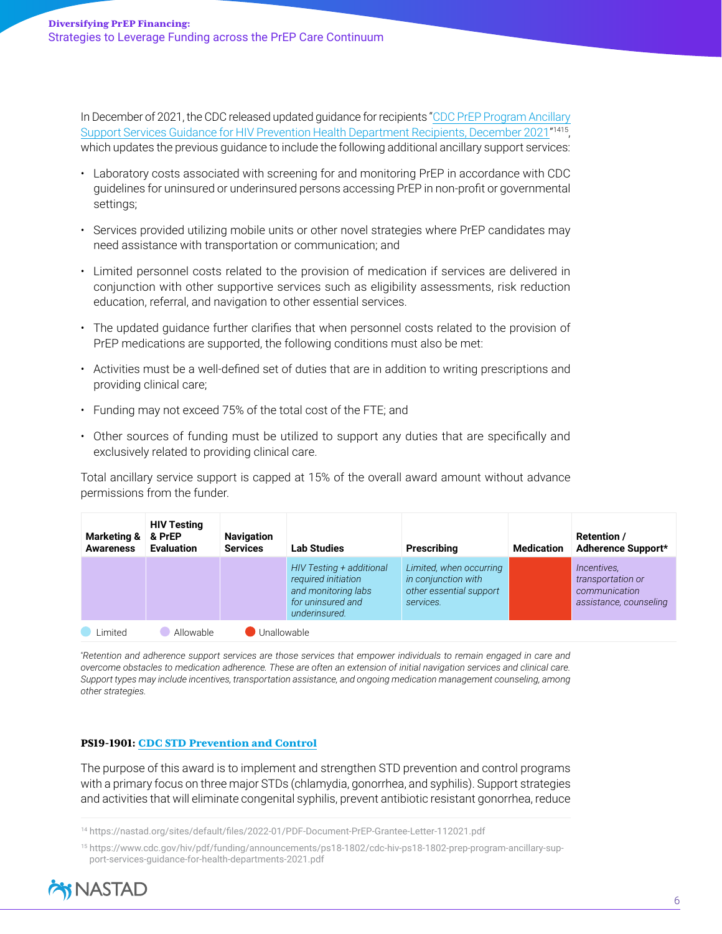In December of 2021, the CDC released updated guidance for recipients ["CDC PrEP Program Ancillary](https://www.cdc.gov/hiv/pdf/funding/announcements/ps18-1802/cdc-hiv-ps18-1802-prep-program-ancillary-support-services-guidance-for-health-departments-2021.pdf)  [Support Services Guidance for HIV Prevention Health Department Recipients, December 2021](https://www.cdc.gov/hiv/pdf/funding/announcements/ps18-1802/cdc-hiv-ps18-1802-prep-program-ancillary-support-services-guidance-for-health-departments-2021.pdf)" 1415, which updates the previous guidance to include the following additional ancillary support services:

- Laboratory costs associated with screening for and monitoring PrEP in accordance with CDC guidelines for uninsured or underinsured persons accessing PrEP in non-profit or governmental settings;
- Services provided utilizing mobile units or other novel strategies where PrEP candidates may need assistance with transportation or communication; and
- Limited personnel costs related to the provision of medication if services are delivered in conjunction with other supportive services such as eligibility assessments, risk reduction education, referral, and navigation to other essential services.
- The updated guidance further clarifies that when personnel costs related to the provision of PrEP medications are supported, the following conditions must also be met:
- Activities must be a well-defined set of duties that are in addition to writing prescriptions and providing clinical care;
- Funding may not exceed 75% of the total cost of the FTE; and
- Other sources of funding must be utilized to support any duties that are specifically and exclusively related to providing clinical care.

Total ancillary service support is capped at 15% of the overall award amount without advance permissions from the funder.

| <b>Marketing &amp;</b><br><b>Awareness</b> | <b>HIV Testing</b><br>& PrEP<br><b>Evaluation</b> | <b>Navigation</b><br><b>Services</b> | <b>Lab Studies</b>                                                                                           | Prescribing                                                                            | <b>Medication</b> | <b>Retention /</b><br>Adherence Support*                                           |
|--------------------------------------------|---------------------------------------------------|--------------------------------------|--------------------------------------------------------------------------------------------------------------|----------------------------------------------------------------------------------------|-------------------|------------------------------------------------------------------------------------|
|                                            |                                                   |                                      | HIV Testing + additional<br>required initiation<br>and monitoring labs<br>for uninsured and<br>underinsured. | Limited, when occurring<br>in conjunction with<br>other essential support<br>services. |                   | <i>Incentives,</i><br>transportation or<br>communication<br>assistance, counseling |
| imited                                     | Allowable                                         |                                      | Unallowable                                                                                                  |                                                                                        |                   |                                                                                    |

*\* Retention and adherence support services are those services that empower individuals to remain engaged in care and overcome obstacles to medication adherence. These are often an extension of initial navigation services and clinical care. Support types may include incentives, transportation assistance, and ongoing medication management counseling, among other strategies.*

#### <span id="page-5-0"></span>PS19-1901: [CDC STD Prevention and Control](https://www.cdc.gov/std/funding/pchd/guidance.htm)

The purpose of this award is to implement and strengthen STD prevention and control programs with a primary focus on three major STDs (chlamydia, gonorrhea, and syphilis). Support strategies and activities that will eliminate congenital syphilis, prevent antibiotic resistant gonorrhea, reduce

<sup>15</sup> [https://www.cdc.gov/hiv/pdf/funding/announcements/ps18-1802/cdc-hiv-ps18-1802-prep-program-ancillary-sup](https://www.cdc.gov/hiv/pdf/funding/announcements/ps18-1802/cdc-hiv-ps18-1802-prep-program-ancillary-support-services-guidance-for-health-departments-2021.pdf)[port-services-guidance-for-health-departments-2021.pdf](https://www.cdc.gov/hiv/pdf/funding/announcements/ps18-1802/cdc-hiv-ps18-1802-prep-program-ancillary-support-services-guidance-for-health-departments-2021.pdf)



<sup>14</sup> <https://nastad.org/sites/default/files/2022-01/PDF-Document-PrEP-Grantee-Letter-112021.pdf>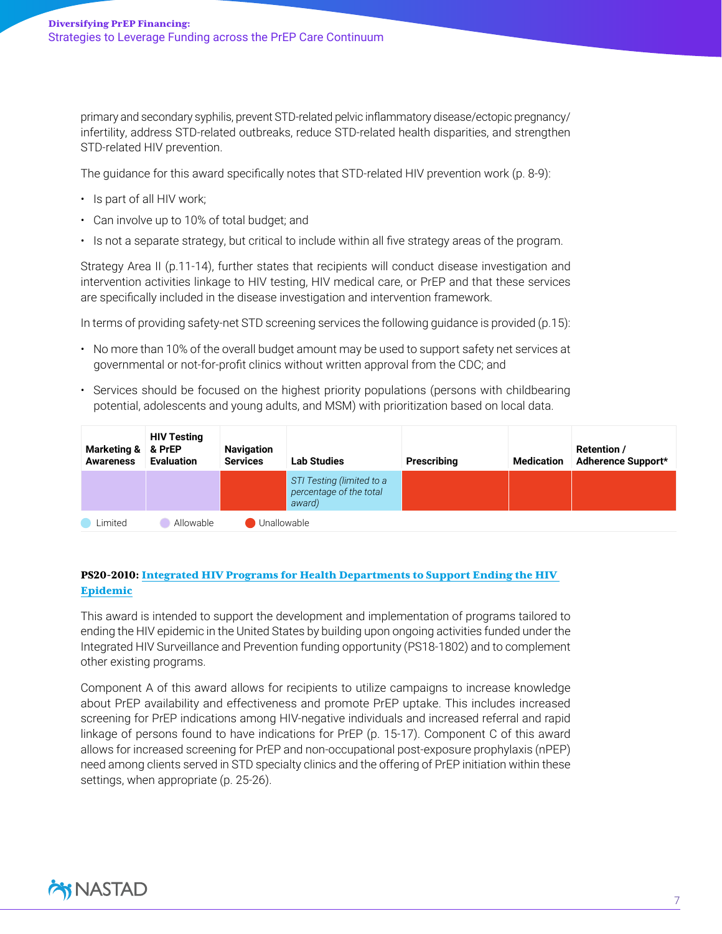primary and secondary syphilis, prevent STD-related pelvic inflammatory disease/ectopic pregnancy/ infertility, address STD-related outbreaks, reduce STD-related health disparities, and strengthen STD-related HIV prevention.

The guidance for this award specifically notes that STD-related HIV prevention work (p. 8-9):

- Is part of all HIV work;
- Can involve up to 10% of total budget; and
- Is not a separate strategy, but critical to include within all five strategy areas of the program.

Strategy Area II (p.11-14), further states that recipients will conduct disease investigation and intervention activities linkage to HIV testing, HIV medical care, or PrEP and that these services are specifically included in the disease investigation and intervention framework.

In terms of providing safety-net STD screening services the following guidance is provided (p.15):

- No more than 10% of the overall budget amount may be used to support safety net services at governmental or not-for-profit clinics without written approval from the CDC; and
- Services should be focused on the highest priority populations (persons with childbearing potential, adolescents and young adults, and MSM) with prioritization based on local data.

| Marketing & & PrEP<br><b>Awareness</b> | <b>HIV Testing</b><br><b>Evaluation</b> | <b>Navigation</b><br><b>Services</b> | <b>Lab Studies</b>                                             | Prescribing | <b>Medication</b> | <b>Retention /</b><br>Adherence Support* |
|----------------------------------------|-----------------------------------------|--------------------------------------|----------------------------------------------------------------|-------------|-------------------|------------------------------------------|
|                                        |                                         |                                      | STI Testing (limited to a<br>percentage of the total<br>award) |             |                   |                                          |
| Limited                                | Allowable                               | Unallowable                          |                                                                |             |                   |                                          |

#### <span id="page-6-0"></span>PS20-2010: [Integrated HIV Programs for Health Departments to Support Ending the HIV](https://www.cdc.gov/hiv/funding/announcements/ps20-2010/index.html)  [Epidemic](https://www.cdc.gov/hiv/funding/announcements/ps20-2010/index.html)

This award is intended to support the development and implementation of programs tailored to ending the HIV epidemic in the United States by building upon ongoing activities funded under the Integrated HIV Surveillance and Prevention funding opportunity (PS18-1802) and to complement other existing programs.

Component A of this award allows for recipients to utilize campaigns to increase knowledge about PrEP availability and effectiveness and promote PrEP uptake. This includes increased screening for PrEP indications among HIV-negative individuals and increased referral and rapid linkage of persons found to have indications for PrEP (p. 15-17). Component C of this award allows for increased screening for PrEP and non-occupational post-exposure prophylaxis (nPEP) need among clients served in STD specialty clinics and the offering of PrEP initiation within these settings, when appropriate (p. 25-26).

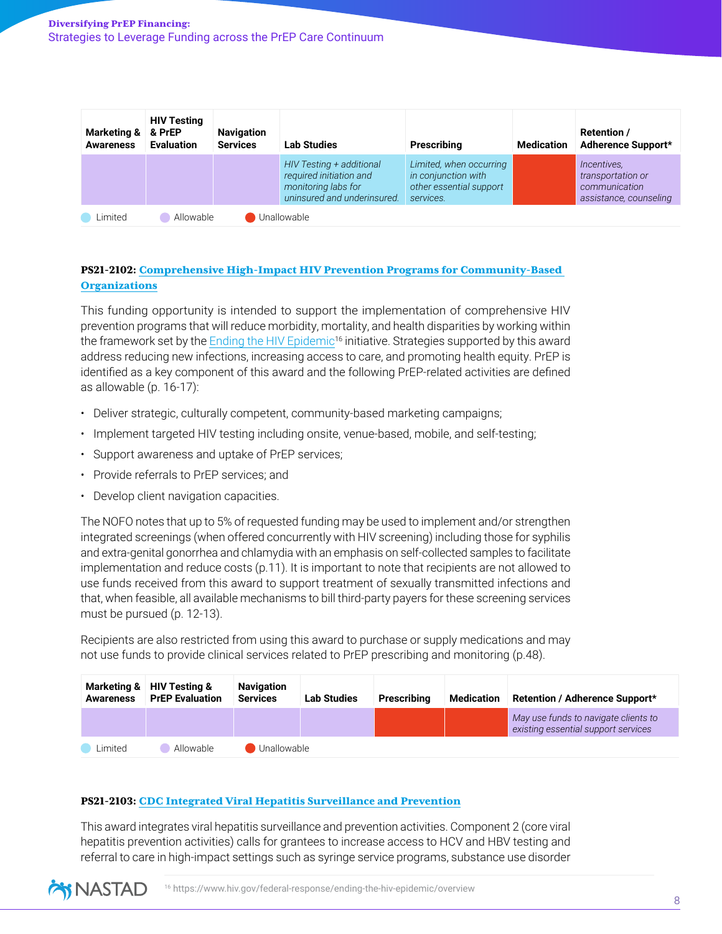| <b>Marketing &amp;</b><br><b>Awareness</b> | <b>HIV Testing</b><br>& PrEP<br><b>Evaluation</b> | <b>Navigation</b><br><b>Services</b> | <b>Lab Studies</b>                                                                                        | Prescribing                                                                            | <b>Medication</b> | <b>Retention /</b><br>Adherence Support*                                    |
|--------------------------------------------|---------------------------------------------------|--------------------------------------|-----------------------------------------------------------------------------------------------------------|----------------------------------------------------------------------------------------|-------------------|-----------------------------------------------------------------------------|
|                                            |                                                   |                                      | HIV Testing + additional<br>required initiation and<br>monitoring labs for<br>uninsured and underinsured. | Limited, when occurring<br>in conjunction with<br>other essential support<br>services. |                   | Incentives,<br>transportation or<br>communication<br>assistance, counseling |
| Limited                                    | Allowable                                         |                                      | Unallowable                                                                                               |                                                                                        |                   |                                                                             |

#### <span id="page-7-0"></span>PS21-2102: [Comprehensive High-Impact HIV Prevention Programs for Community-Based](https://www.cdc.gov/hiv/funding/announcements/ps21-2102/index.html)  **[Organizations](https://www.cdc.gov/hiv/funding/announcements/ps21-2102/index.html)**

This funding opportunity is intended to support the implementation of comprehensive HIV prevention programs that will reduce morbidity, mortality, and health disparities by working within the framework set by the [Ending the HIV Epidemic](https://www.hiv.gov/federal-response/ending-the-hiv-epidemic/overview)<sup>16</sup> initiative. Strategies supported by this award address reducing new infections, increasing access to care, and promoting health equity. PrEP is identified as a key component of this award and the following PrEP-related activities are defined as allowable (p. 16-17):

- Deliver strategic, culturally competent, community-based marketing campaigns;
- Implement targeted HIV testing including onsite, venue-based, mobile, and self-testing;
- Support awareness and uptake of PrEP services;
- Provide referrals to PrEP services; and
- Develop client navigation capacities.

The NOFO notes that up to 5% of requested funding may be used to implement and/or strengthen integrated screenings (when offered concurrently with HIV screening) including those for syphilis and extra-genital gonorrhea and chlamydia with an emphasis on self-collected samples to facilitate implementation and reduce costs (p.11). It is important to note that recipients are not allowed to use funds received from this award to support treatment of sexually transmitted infections and that, when feasible, all available mechanisms to bill third-party payers for these screening services must be pursued (p. 12-13).

Recipients are also restricted from using this award to purchase or supply medications and may not use funds to provide clinical services related to PrEP prescribing and monitoring (p.48).

| <b>Marketing &amp;</b><br><b>Awareness</b> | HIV Testing &<br><b>PrEP Evaluation</b> | <b>Navigation</b><br><b>Services</b> | <b>Lab Studies</b> | Prescribina | Medication | Retention / Adherence Support*                                              |
|--------------------------------------------|-----------------------------------------|--------------------------------------|--------------------|-------------|------------|-----------------------------------------------------------------------------|
|                                            |                                         |                                      |                    |             |            | May use funds to navigate clients to<br>existing essential support services |
| Limited                                    | Allowable                               | Unallowable                          |                    |             |            |                                                                             |

#### <span id="page-7-1"></span>PS21-2103: [CDC Integrated Viral Hepatitis Surveillance and Prevention](https://www.cdc.gov/hepatitis/policy/FO-CDC-RFA-PS21-2103.htm)

This award integrates viral hepatitis surveillance and prevention activities. Component 2 (core viral hepatitis prevention activities) calls for grantees to increase access to HCV and HBV testing and referral to care in high-impact settings such as syringe service programs, substance use disorder

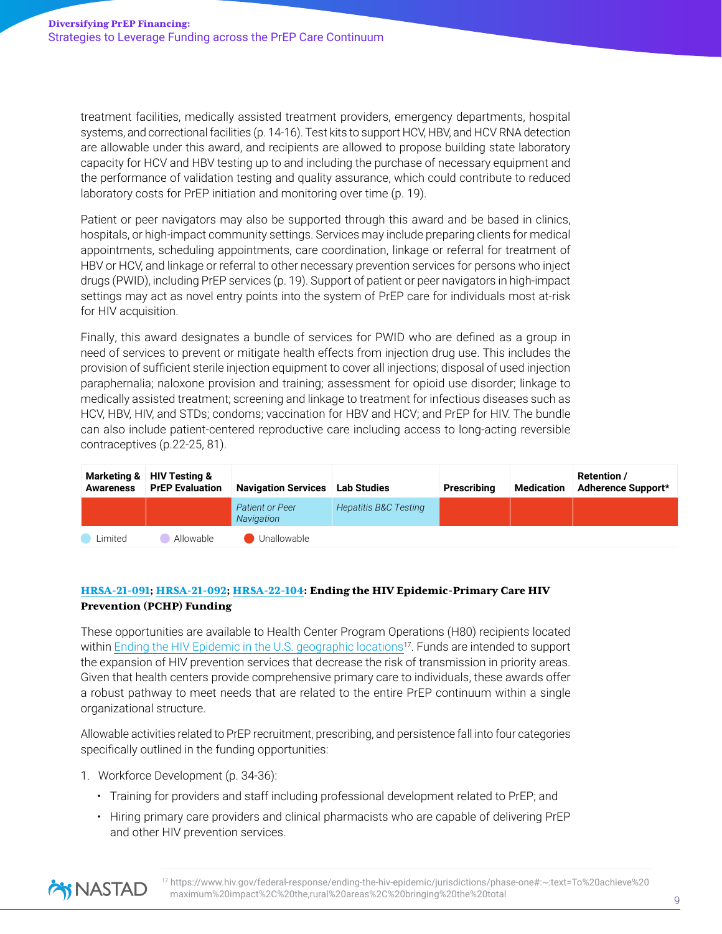treatment facilities, medically assisted treatment providers, emergency departments, hospital systems, and correctional facilities (p. 14-16). Test kits to support HCV, HBV, and HCV RNA detection are allowable under this award, and recipients are allowed to propose building state laboratory capacity for HCV and HBV testing up to and including the purchase of necessary equipment and the performance of validation testing and quality assurance, which could contribute to reduced laboratory costs for PrEP initiation and monitoring over time (p. 19).

Patient or peer navigators may also be supported through this award and be based in clinics, hospitals, or high-impact community settings. Services may include preparing clients for medical appointments, scheduling appointments, care coordination, linkage or referral for treatment of HBV or HCV, and linkage or referral to other necessary prevention services for persons who inject drugs (PWID), including PrEP services (p. 19). Support of patient or peer navigators in high-impact settings may act as novel entry points into the system of PrEP care for individuals most at-risk for HIV acquisition.

Finally, this award designates a bundle of services for PWID who are defined as a group in need of services to prevent or mitigate health effects from injection drug use. This includes the provision of sufficient sterile injection equipment to cover all injections; disposal of used injection paraphernalia; naloxone provision and training; assessment for opioid use disorder; linkage to medically assisted treatment; screening and linkage to treatment for infectious diseases such as HCV, HBV, HIV, and STDs; condoms; vaccination for HBV and HCV; and PrEP for HIV. The bundle can also include patient-centered reproductive care including access to long-acting reversible contraceptives (p.22-25, 81).

| <b>Marketing &amp;</b><br><b>Awareness</b> | HIV Testing &<br><b>PrEP Evaluation</b> | <b>Navigation Services</b>    | Lab Studies                      | Prescribing | Medication | Retention /<br>Adherence Support* |
|--------------------------------------------|-----------------------------------------|-------------------------------|----------------------------------|-------------|------------|-----------------------------------|
|                                            |                                         | Patient or Peer<br>Navigation | <b>Hepatitis B&amp;C Testing</b> |             |            |                                   |
| Limited                                    | Allowable                               | Unallowable                   |                                  |             |            |                                   |

#### <span id="page-8-0"></span>[HRSA-21-091](https://bphc.hrsa.gov/program-opportunities/primary-care-hiv-prevention#092); [HRSA-21-092](https://bphc.hrsa.gov/program-opportunities/primary-care-hiv-prevention#091); [HRSA-22-104:](https://bphc.hrsa.gov/program-opportunities/primary-care-hiv-prevention#092) Ending the HIV Epidemic-Primary Care HIV Prevention (PCHP) Funding

These opportunities are available to Health Center Program Operations (H80) recipients located within [Ending the HIV Epidemic in the U.S. geographic locations](https://www.hiv.gov/federal-response/ending-the-hiv-epidemic/jurisdictions/phase-one#:~:text=To%20achieve%20maximum%20impact%2C%20the,rural%20areas%2C%20bringing%20the%20total)<sup>17</sup>. Funds are intended to support the expansion of HIV prevention services that decrease the risk of transmission in priority areas. Given that health centers provide comprehensive primary care to individuals, these awards offer a robust pathway to meet needs that are related to the entire PrEP continuum within a single organizational structure.

Allowable activities related to PrEP recruitment, prescribing, and persistence fall into four categories specifically outlined in the funding opportunities:

- 1. Workforce Development (p. 34-36):
	- Training for providers and staff including professional development related to PrEP; and
	- Hiring primary care providers and clinical pharmacists who are capable of delivering PrEP and other HIV prevention services.



<sup>17</sup> [https://www.hiv.gov/federal-response/ending-the-hiv-epidemic/jurisdictions/phase-one#:~:text=To%20achieve%20](https://www.hiv.gov/federal-response/ending-the-hiv-epidemic/jurisdictions/phase-one#:~:text=To%20ac) [maximum%20impact%2C%20the,rural%20areas%2C%20bringing%20the%20total](https://www.hiv.gov/federal-response/ending-the-hiv-epidemic/jurisdictions/phase-one#:~:text=To%20ac)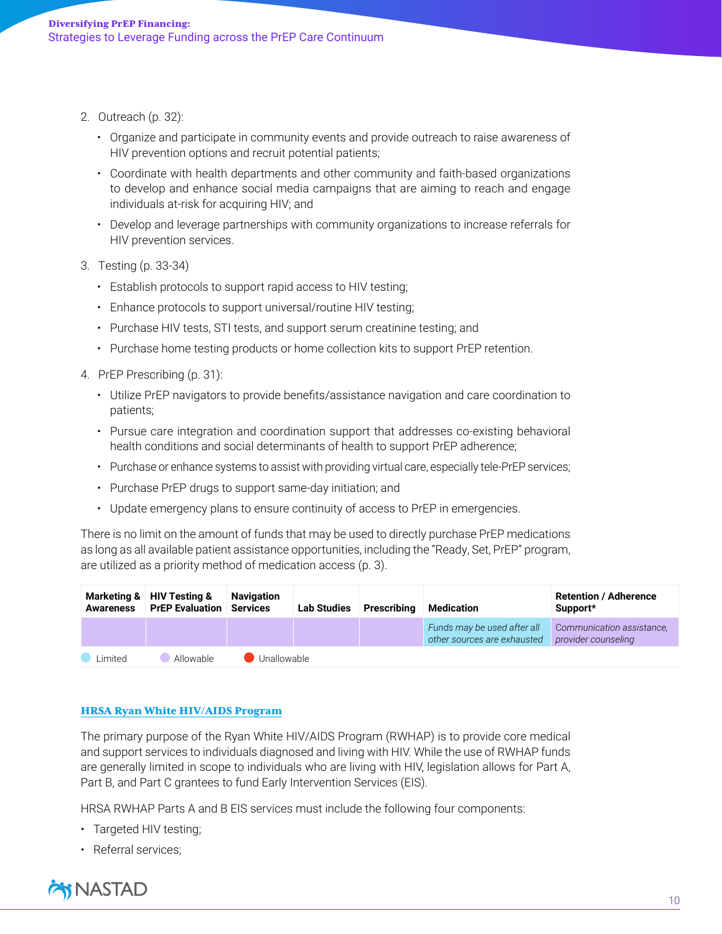- 2. Outreach (p. 32):
	- Organize and participate in community events and provide outreach to raise awareness of HIV prevention options and recruit potential patients;
	- Coordinate with health departments and other community and faith-based organizations to develop and enhance social media campaigns that are aiming to reach and engage individuals at-risk for acquiring HIV; and
	- Develop and leverage partnerships with community organizations to increase referrals for HIV prevention services.
- 3. Testing (p. 33-34)
	- Establish protocols to support rapid access to HIV testing;
	- Enhance protocols to support universal/routine HIV testing;
	- Purchase HIV tests, STI tests, and support serum creatinine testing; and
	- Purchase home testing products or home collection kits to support PrEP retention.
- 4. PrEP Prescribing (p. 31):
	- Utilize PrEP navigators to provide benefits/assistance navigation and care coordination to patients;
	- Pursue care integration and coordination support that addresses co-existing behavioral health conditions and social determinants of health to support PrEP adherence;
	- Purchase or enhance systems to assist with providing virtual care, especially tele-PrEP services;
	- Purchase PrEP drugs to support same-day initiation; and
	- Update emergency plans to ensure continuity of access to PrEP in emergencies.

There is no limit on the amount of funds that may be used to directly purchase PrEP medications as long as all available patient assistance opportunities, including the "Ready, Set, PrEP" program, are utilized as a priority method of medication access (p. 3).

| <b>Awareness</b> | Marketing & HIV Testing &<br><b>PrEP Evaluation Services</b> | <b>Navigation</b> | <b>Lab Studies</b> | Prescribing | Medication                                                 | <b>Retention / Adherence</b><br>Support*         |
|------------------|--------------------------------------------------------------|-------------------|--------------------|-------------|------------------------------------------------------------|--------------------------------------------------|
|                  |                                                              |                   |                    |             | Funds may be used after all<br>other sources are exhausted | Communication assistance,<br>provider counseling |
| I imited         | Allowable                                                    | Unallowable       |                    |             |                                                            |                                                  |

#### <span id="page-9-0"></span>[HRSA Ryan White HIV/AIDS Program](https://hab.hrsa.gov/sites/default/files/hab/Global/service_category_pcn_16-02_final.pdf)

The primary purpose of the Ryan White HIV/AIDS Program (RWHAP) is to provide core medical and support services to individuals diagnosed and living with HIV. While the use of RWHAP funds are generally limited in scope to individuals who are living with HIV, legislation allows for Part A, Part B, and Part C grantees to fund Early Intervention Services (EIS).

HRSA RWHAP Parts A and B EIS services must include the following four components:

- Targeted HIV testing;
- Referral services;

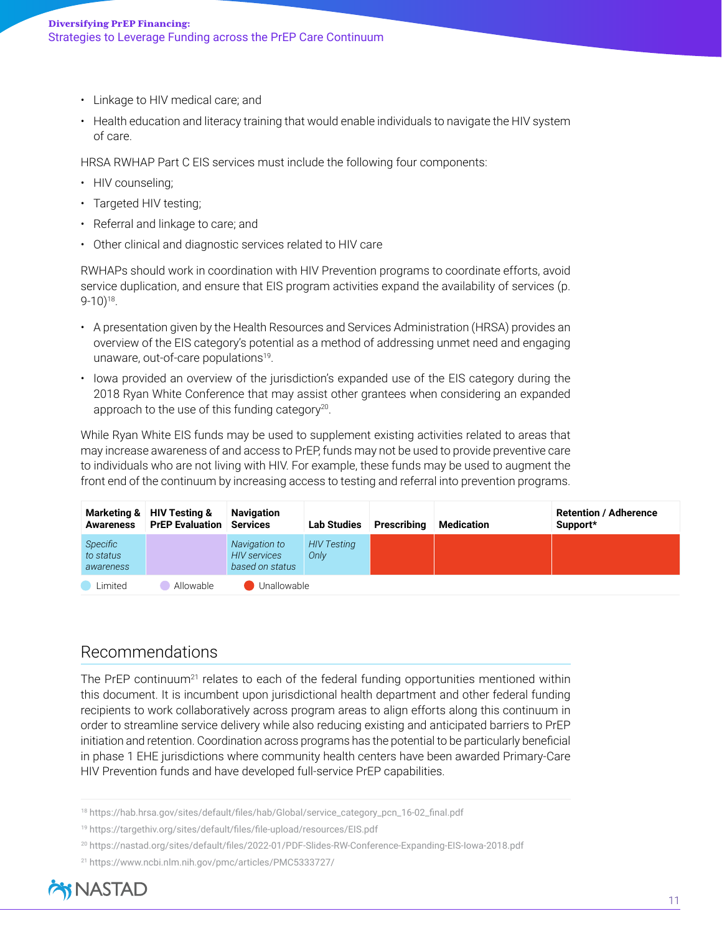- Linkage to HIV medical care; and
- Health education and literacy training that would enable individuals to navigate the HIV system of care.

HRSA RWHAP Part C EIS services must include the following four components:

- HIV counseling;
- Targeted HIV testing;
- Referral and linkage to care; and
- Other clinical and diagnostic services related to HIV care

RWHAPs should work in coordination with HIV Prevention programs to coordinate efforts, avoid service duplication, and ensure that EIS program activities expand the availability of services (p. 9-10)18.

- A presentation given by the Health Resources and Services Administration (HRSA) provides an overview of the EIS category's potential as a method of addressing unmet need and engaging unaware, out-of-care populations<sup>19</sup>.
- Iowa provided an overview of the jurisdiction's expanded use of the EIS category during the 2018 Ryan White Conference that may assist other grantees when considering an expanded approach to the use of this funding category $20$ .

While Ryan White EIS funds may be used to supplement existing activities related to areas that may increase awareness of and access to PrEP, funds may not be used to provide preventive care to individuals who are not living with HIV. For example, these funds may be used to augment the front end of the continuum by increasing access to testing and referral into prevention programs.

| <b>Awareness</b>                   | Marketing & HIV Testing &<br><b>PrEP Evaluation</b> | <b>Navigation</b><br><b>Services</b>                    | Lab Studies                | Prescribing | Medication | <b>Retention / Adherence</b><br>Support* |
|------------------------------------|-----------------------------------------------------|---------------------------------------------------------|----------------------------|-------------|------------|------------------------------------------|
| Specific<br>to status<br>awareness |                                                     | Navigation to<br><b>HIV</b> services<br>based on status | <b>HIV Testing</b><br>Only |             |            |                                          |
| Limited                            | Allowable                                           | Unallowable                                             |                            |             |            |                                          |

# Recommendations

The PrEP continuum<sup>21</sup> relates to each of the federal funding opportunities mentioned within this document. It is incumbent upon jurisdictional health department and other federal funding recipients to work collaboratively across program areas to align efforts along this continuum in order to streamline service delivery while also reducing existing and anticipated barriers to PrEP initiation and retention. Coordination across programs has the potential to be particularly beneficial in phase 1 EHE jurisdictions where community health centers have been awarded Primary-Care HIV Prevention funds and have developed full-service PrEP capabilities.

- <sup>18</sup> [https://hab.hrsa.gov/sites/default/files/hab/Global/service\\_category\\_pcn\\_16-02\\_final.pdf](https://hab.hrsa.gov/sites/default/files/hab/Global/service_category_pcn_16-02_final.pdf)
- <sup>19</sup> <https://targethiv.org/sites/default/files/file-upload/resources/EIS.pdf>
- <sup>20</sup> <https://nastad.org/sites/default/files/2022-01/PDF-Slides-RW-Conference-Expanding-EIS-Iowa-2018.pdf>
- <sup>21</sup> <https://www.ncbi.nlm.nih.gov/pmc/articles/PMC5333727/>